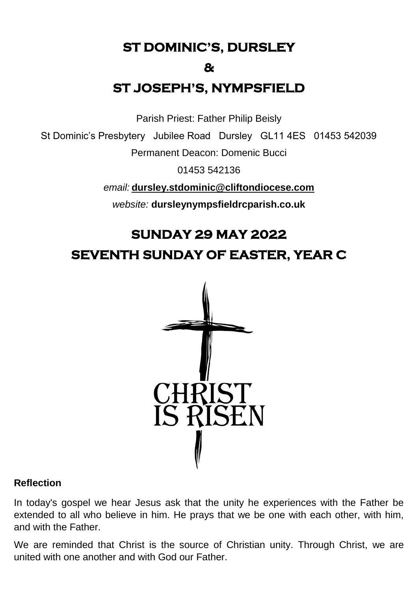**ST DOMINIC'S, DURSLEY** 

#### **&**

# **ST JOSEPH'S, NYMPSFIELD**

Parish Priest: Father Philip Beisly

St Dominic's Presbytery Jubilee Road Dursley GL11 4ES 01453 542039

Permanent Deacon: Domenic Bucci

01453 542136

*email:* **[dursley.stdominic@cliftondiocese.com](mailto:dursley.stdominic@cliftondiocese.com)**

*website:* **dursleynympsfieldrcparish.co.uk**

# **SUNDAY 29 MAY 2022 SEVENTH SUNDAY OF EASTER, YEAR C**



#### **Reflection**

In today's gospel we hear Jesus ask that the unity he experiences with the Father be extended to all who believe in him. He prays that we be one with each other, with him, and with the Father.

We are reminded that Christ is the source of Christian unity. Through Christ, we are united with one another and with God our Father.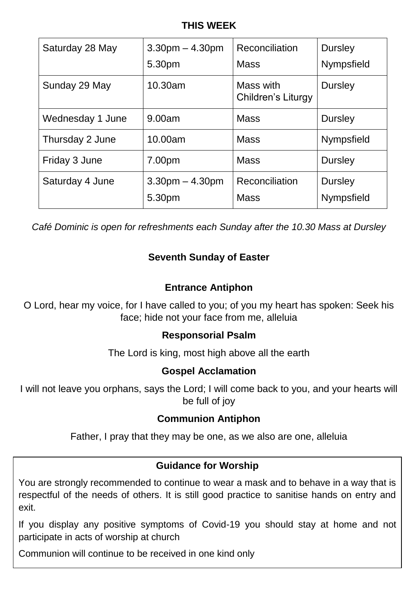#### **THIS WEEK**

| Saturday 28 May  | $3.30pm - 4.30pm$<br>5.30pm | Reconciliation<br><b>Mass</b>   | <b>Dursley</b><br>Nympsfield        |
|------------------|-----------------------------|---------------------------------|-------------------------------------|
| Sunday 29 May    | 10.30am                     | Mass with<br>Children's Liturgy | <b>Dursley</b>                      |
| Wednesday 1 June | 9.00am                      | <b>Mass</b>                     | <b>Dursley</b>                      |
| Thursday 2 June  | 10.00am                     | <b>Mass</b>                     | Nympsfield                          |
| Friday 3 June    | 7.00pm                      | <b>Mass</b>                     | <b>Dursley</b>                      |
| Saturday 4 June  | $3.30pm - 4.30pm$<br>5.30pm | Reconciliation<br><b>Mass</b>   | <b>Dursley</b><br><b>Nympsfield</b> |

*Café Dominic is open for refreshments each Sunday after the 10.30 Mass at Dursley* 

# **Seventh Sunday of Easter**

#### **Entrance Antiphon**

O Lord, hear my voice, for I have called to you; of you my heart has spoken: Seek his face; hide not your face from me, alleluia

#### **Responsorial Psalm**

The Lord is king, most high above all the earth

#### **Gospel Acclamation**

I will not leave you orphans, says the Lord; I will come back to you, and your hearts will be full of joy

# **Communion Antiphon**

Father, I pray that they may be one, as we also are one, alleluia

# **Guidance for Worship**

You are strongly recommended to continue to wear a mask and to behave in a way that is respectful of the needs of others. It is still good practice to sanitise hands on entry and exit.

If you display any positive symptoms of Covid-19 you should stay at home and not participate in acts of worship at church

Communion will continue to be received in one kind only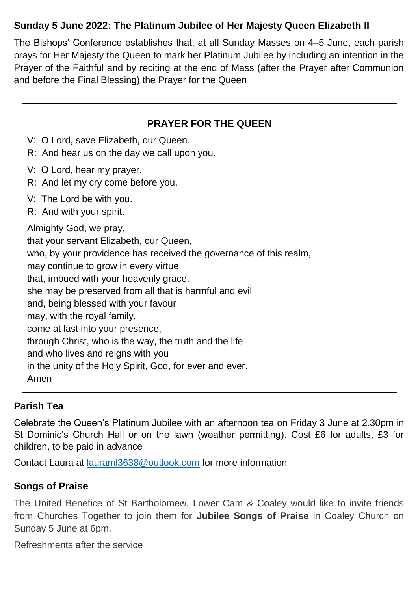# **Sunday 5 June 2022: The Platinum Jubilee of Her Majesty Queen Elizabeth II**

The Bishops' Conference establishes that, at all Sunday Masses on 4–5 June, each parish prays for Her Majesty the Queen to mark her Platinum Jubilee by including an intention in the Prayer of the Faithful and by reciting at the end of Mass (after the Prayer after Communion and before the Final Blessing) the Prayer for the Queen

| <b>PRAYER FOR THE QUEEN</b>                                                                                                                                                                                                                                                                                                                                                                                                                                                                                                                                       |
|-------------------------------------------------------------------------------------------------------------------------------------------------------------------------------------------------------------------------------------------------------------------------------------------------------------------------------------------------------------------------------------------------------------------------------------------------------------------------------------------------------------------------------------------------------------------|
| V: O Lord, save Elizabeth, our Queen.<br>R: And hear us on the day we call upon you.                                                                                                                                                                                                                                                                                                                                                                                                                                                                              |
| V: O Lord, hear my prayer.<br>R: And let my cry come before you.                                                                                                                                                                                                                                                                                                                                                                                                                                                                                                  |
| V: The Lord be with you.<br>R: And with your spirit.                                                                                                                                                                                                                                                                                                                                                                                                                                                                                                              |
| Almighty God, we pray,<br>that your servant Elizabeth, our Queen,<br>who, by your providence has received the governance of this realm,<br>may continue to grow in every virtue,<br>that, imbued with your heavenly grace,<br>she may be preserved from all that is harmful and evil<br>and, being blessed with your favour<br>may, with the royal family,<br>come at last into your presence,<br>through Christ, who is the way, the truth and the life<br>and who lives and reigns with you<br>in the unity of the Holy Spirit, God, for ever and ever.<br>Amen |

#### **Parish Tea**

Celebrate the Queen's Platinum Jubilee with an afternoon tea on Friday 3 June at 2.30pm in St Dominic's Church Hall or on the lawn (weather permitting). Cost £6 for adults, £3 for children, to be paid in advance

Contact Laura at [lauraml3638@outlook.com](mailto:lauraml3638@outlook.com) for more information

# **Songs of Praise**

The United Benefice of St Bartholomew, Lower Cam & Coaley would like to invite friends from Churches Together to join them for **Jubilee Songs of Praise** in Coaley Church on Sunday 5 June at 6pm.

Refreshments after the service